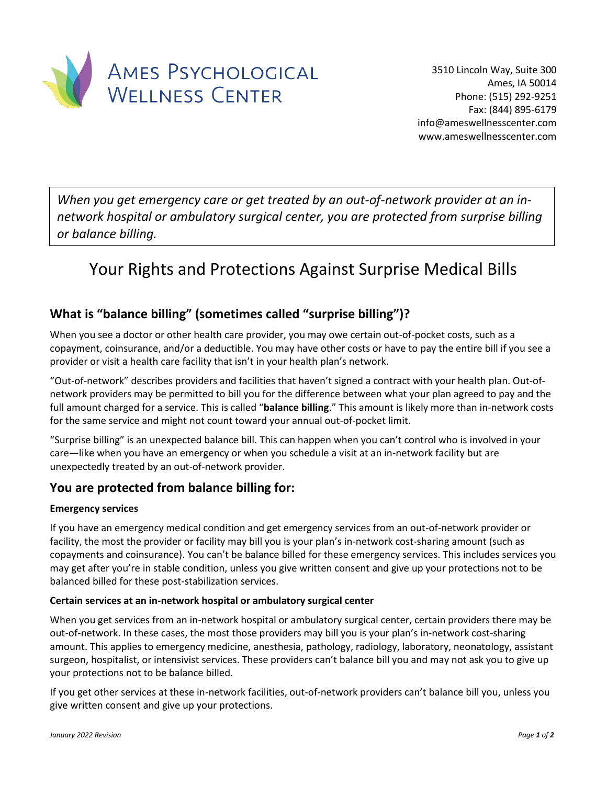

*When you get emergency care or get treated by an out-of-network provider at an innetwork hospital or ambulatory surgical center, you are protected from surprise billing or balance billing.*

# Your Rights and Protections Against Surprise Medical Bills

## **What is "balance billing" (sometimes called "surprise billing")?**

When you see a doctor or other health care provider, you may owe certain out-of-pocket costs, such as a copayment, coinsurance, and/or a deductible. You may have other costs or have to pay the entire bill if you see a provider or visit a health care facility that isn't in your health plan's network.

"Out-of-network" describes providers and facilities that haven't signed a contract with your health plan. Out-ofnetwork providers may be permitted to bill you for the difference between what your plan agreed to pay and the full amount charged for a service. This is called "**balance billing**." This amount is likely more than in-network costs for the same service and might not count toward your annual out-of-pocket limit.

"Surprise billing" is an unexpected balance bill. This can happen when you can't control who is involved in your care—like when you have an emergency or when you schedule a visit at an in-network facility but are unexpectedly treated by an out-of-network provider.

## **You are protected from balance billing for:**

#### **Emergency services**

If you have an emergency medical condition and get emergency services from an out-of-network provider or facility, the most the provider or facility may bill you is your plan's in-network cost-sharing amount (such as copayments and coinsurance). You can't be balance billed for these emergency services. This includes services you may get after you're in stable condition, unless you give written consent and give up your protections not to be balanced billed for these post-stabilization services.

#### **Certain services at an in-network hospital or ambulatory surgical center**

When you get services from an in-network hospital or ambulatory surgical center, certain providers there may be out-of-network. In these cases, the most those providers may bill you is your plan's in-network cost-sharing amount. This applies to emergency medicine, anesthesia, pathology, radiology, laboratory, neonatology, assistant surgeon, hospitalist, or intensivist services. These providers can't balance bill you and may not ask you to give up your protections not to be balance billed.

If you get other services at these in-network facilities, out-of-network providers can't balance bill you, unless you give written consent and give up your protections.